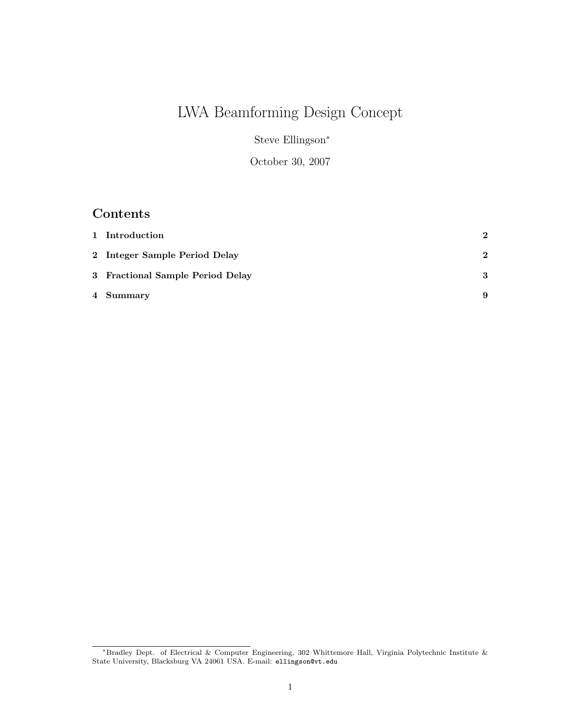# LWA Beamforming Design Concept

Steve Ellingson<sup>∗</sup>

October 30, 2007

## Contents

| 1 Introduction                   | $\mathbf{2}$ |
|----------------------------------|--------------|
| 2 Integer Sample Period Delay    | $\mathbf{2}$ |
| 3 Fractional Sample Period Delay | 3            |
| 4 Summary                        | 9            |

<sup>∗</sup>Bradley Dept. of Electrical & Computer Engineering, 302 Whittemore Hall, Virginia Polytechnic Institute & State University, Blacksburg VA 24061 USA. E-mail: ellingson@vt.edu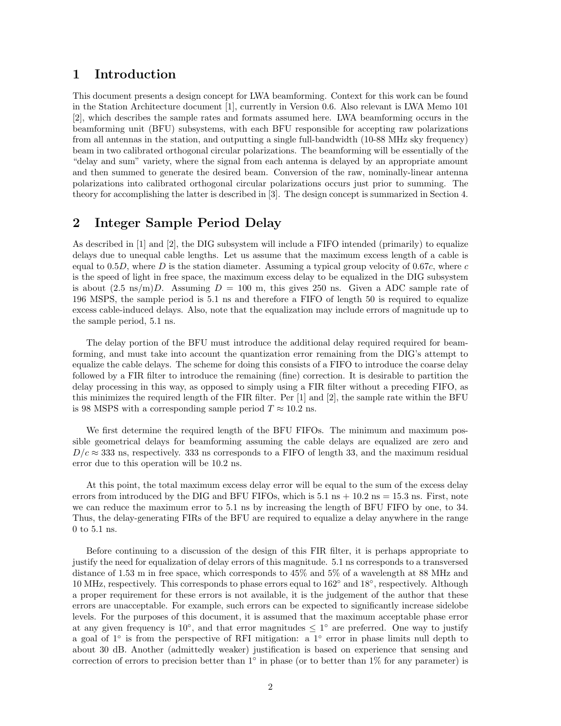#### 1 Introduction

This document presents a design concept for LWA beamforming. Context for this work can be found in the Station Architecture document [1], currently in Version 0.6. Also relevant is LWA Memo 101 [2], which describes the sample rates and formats assumed here. LWA beamforming occurs in the beamforming unit (BFU) subsystems, with each BFU responsible for accepting raw polarizations from all antennas in the station, and outputting a single full-bandwidth (10-88 MHz sky frequency) beam in two calibrated orthogonal circular polarizations. The beamforming will be essentially of the "delay and sum" variety, where the signal from each antenna is delayed by an appropriate amount and then summed to generate the desired beam. Conversion of the raw, nominally-linear antenna polarizations into calibrated orthogonal circular polarizations occurs just prior to summing. The theory for accomplishing the latter is described in [3]. The design concept is summarized in Section 4.

#### 2 Integer Sample Period Delay

As described in [1] and [2], the DIG subsystem will include a FIFO intended (primarily) to equalize delays due to unequal cable lengths. Let us assume that the maximum excess length of a cable is equal to  $0.5D$ , where D is the station diameter. Assuming a typical group velocity of 0.67c, where c is the speed of light in free space, the maximum excess delay to be equalized in the DIG subsystem is about  $(2.5 \text{ ns/m})D$ . Assuming  $D = 100 \text{ m}$ , this gives 250 ns. Given a ADC sample rate of 196 MSPS, the sample period is 5.1 ns and therefore a FIFO of length 50 is required to equalize excess cable-induced delays. Also, note that the equalization may include errors of magnitude up to the sample period, 5.1 ns.

The delay portion of the BFU must introduce the additional delay required required for beamforming, and must take into account the quantization error remaining from the DIG's attempt to equalize the cable delays. The scheme for doing this consists of a FIFO to introduce the coarse delay followed by a FIR filter to introduce the remaining (fine) correction. It is desirable to partition the delay processing in this way, as opposed to simply using a FIR filter without a preceding FIFO, as this minimizes the required length of the FIR filter. Per [1] and [2], the sample rate within the BFU is 98 MSPS with a corresponding sample period  $T \approx 10.2$  ns.

We first determine the required length of the BFU FIFOs. The minimum and maximum possible geometrical delays for beamforming assuming the cable delays are equalized are zero and  $D/c \approx 333$  ns, respectively. 333 ns corresponds to a FIFO of length 33, and the maximum residual error due to this operation will be 10.2 ns.

At this point, the total maximum excess delay error will be equal to the sum of the excess delay errors from introduced by the DIG and BFU FIFOs, which is  $5.1 \text{ ns} + 10.2 \text{ ns} = 15.3 \text{ ns}$ . First, note we can reduce the maximum error to 5.1 ns by increasing the length of BFU FIFO by one, to 34. Thus, the delay-generating FIRs of the BFU are required to equalize a delay anywhere in the range 0 to 5.1 ns.

Before continuing to a discussion of the design of this FIR filter, it is perhaps appropriate to justify the need for equalization of delay errors of this magnitude. 5.1 ns corresponds to a transversed distance of 1.53 m in free space, which corresponds to 45% and 5% of a wavelength at 88 MHz and 10 MHz, respectively. This corresponds to phase errors equal to 162◦ and 18◦ , respectively. Although a proper requirement for these errors is not available, it is the judgement of the author that these errors are unacceptable. For example, such errors can be expected to significantly increase sidelobe levels. For the purposes of this document, it is assumed that the maximum acceptable phase error at any given frequency is 10<sup>°</sup>, and that error magnitudes  $\leq 1$ <sup>°</sup> are preferred. One way to justify a goal of 1° is from the perspective of RFI mitigation: a 1° error in phase limits null depth to about 30 dB. Another (admittedly weaker) justification is based on experience that sensing and correction of errors to precision better than  $1°$  in phase (or to better than  $1%$  for any parameter) is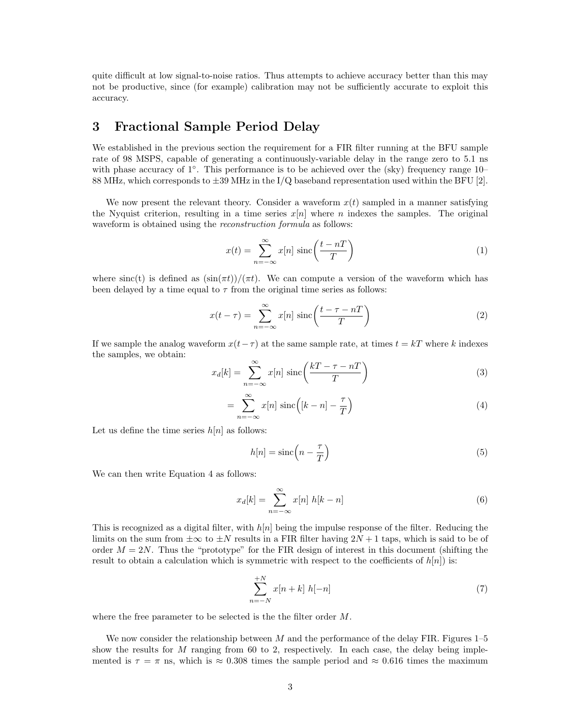quite difficult at low signal-to-noise ratios. Thus attempts to achieve accuracy better than this may not be productive, since (for example) calibration may not be sufficiently accurate to exploit this accuracy.

#### 3 Fractional Sample Period Delay

We established in the previous section the requirement for a FIR filter running at the BFU sample rate of 98 MSPS, capable of generating a continuously-variable delay in the range zero to 5.1 ns with phase accuracy of 1°. This performance is to be achieved over the (sky) frequency range 10− 88 MHz, which corresponds to  $\pm 39$  MHz in the I/Q baseband representation used within the BFU [2].

We now present the relevant theory. Consider a waveform  $x(t)$  sampled in a manner satisfying the Nyquist criterion, resulting in a time series  $x[n]$  where n indexes the samples. The original waveform is obtained using the *reconstruction formula* as follows:

$$
x(t) = \sum_{n = -\infty}^{\infty} x[n] \operatorname{sinc}\left(\frac{t - n}{T}\right)
$$
 (1)

where sinc(t) is defined as  $(\sin(\pi t))/(\pi t)$ . We can compute a version of the waveform which has been delayed by a time equal to  $\tau$  from the original time series as follows:

$$
x(t-\tau) = \sum_{n=-\infty}^{\infty} x[n] \operatorname{sinc}\left(\frac{t-\tau-n}{T}\right)
$$
 (2)

If we sample the analog waveform  $x(t-\tau)$  at the same sample rate, at times  $t = kT$  where k indexes the samples, we obtain:

$$
x_d[k] = \sum_{n = -\infty}^{\infty} x[n] \operatorname{sinc}\left(\frac{kT - \tau - nT}{T}\right)
$$
 (3)

$$
= \sum_{n=-\infty}^{\infty} x[n] \operatorname{sinc}\left( [k-n] - \frac{\tau}{T} \right)
$$
 (4)

Let us define the time series  $h[n]$  as follows:

$$
h[n] = \text{sinc}\left(n - \frac{\tau}{T}\right) \tag{5}
$$

We can then write Equation 4 as follows:

$$
x_d[k] = \sum_{n = -\infty}^{\infty} x[n] \ h[k - n]
$$
 (6)

This is recognized as a digital filter, with  $h[n]$  being the impulse response of the filter. Reducing the limits on the sum from  $\pm\infty$  to  $\pm N$  results in a FIR filter having  $2N + 1$  taps, which is said to be of order  $M = 2N$ . Thus the "prototype" for the FIR design of interest in this document (shifting the result to obtain a calculation which is symmetric with respect to the coefficients of  $h[n]$  is:

$$
\sum_{n=-N}^{+N} x[n+k] h[-n]
$$
\n(7)

where the free parameter to be selected is the the filter order M.

We now consider the relationship between M and the performance of the delay FIR. Figures  $1-5$ show the results for  $M$  ranging from 60 to 2, respectively. In each case, the delay being implemented is  $\tau = \pi$  ns, which is  $\approx 0.308$  times the sample period and  $\approx 0.616$  times the maximum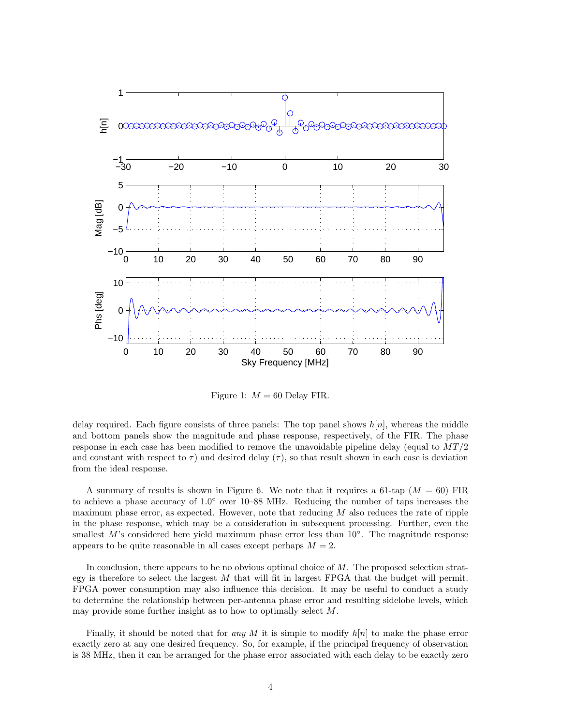

Figure 1:  $M = 60$  Delay FIR.

delay required. Each figure consists of three panels: The top panel shows  $h[n]$ , whereas the middle and bottom panels show the magnitude and phase response, respectively, of the FIR. The phase response in each case has been modified to remove the unavoidable pipeline delay (equal to  $MT/2$ and constant with respect to  $\tau$ ) and desired delay ( $\tau$ ), so that result shown in each case is deviation from the ideal response.

A summary of results is shown in Figure 6. We note that it requires a 61-tap  $(M = 60)$  FIR to achieve a phase accuracy of 1.0° over 10–88 MHz. Reducing the number of taps increases the maximum phase error, as expected. However, note that reducing  $M$  also reduces the rate of ripple in the phase response, which may be a consideration in subsequent processing. Further, even the smallest M's considered here yield maximum phase error less than 10°. The magnitude response appears to be quite reasonable in all cases except perhaps  $M = 2$ .

In conclusion, there appears to be no obvious optimal choice of  $M$ . The proposed selection strategy is therefore to select the largest  $M$  that will fit in largest FPGA that the budget will permit. FPGA power consumption may also influence this decision. It may be useful to conduct a study to determine the relationship between per-antenna phase error and resulting sidelobe levels, which may provide some further insight as to how to optimally select M.

Finally, it should be noted that for any M it is simple to modify  $h[n]$  to make the phase error exactly zero at any one desired frequency. So, for example, if the principal frequency of observation is 38 MHz, then it can be arranged for the phase error associated with each delay to be exactly zero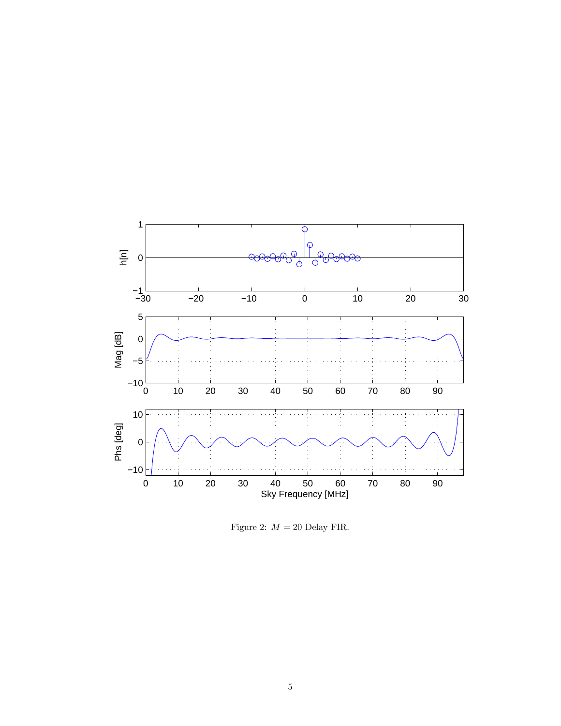

Figure 2:  $M = 20$  Delay FIR.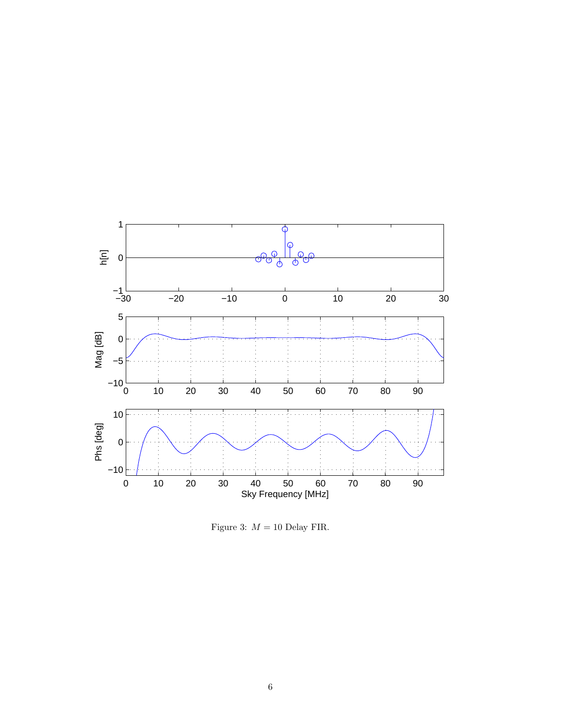

Figure 3:  $M = 10$  Delay FIR.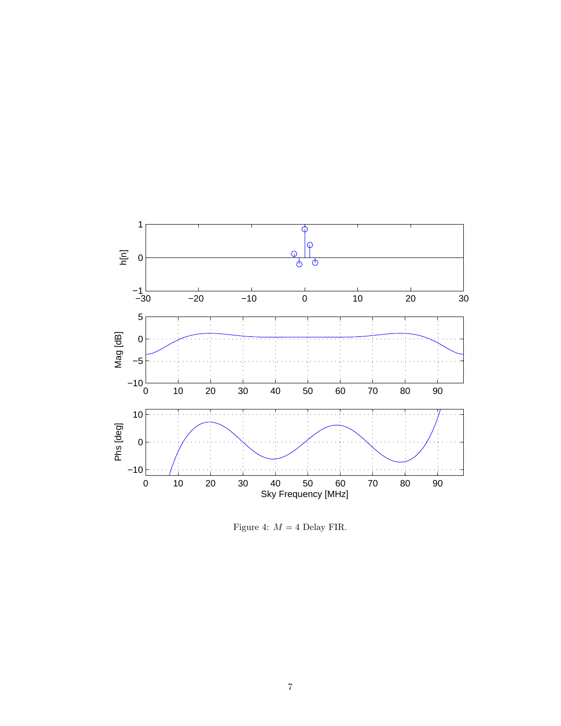

Figure 4:  $M = 4$  Delay FIR.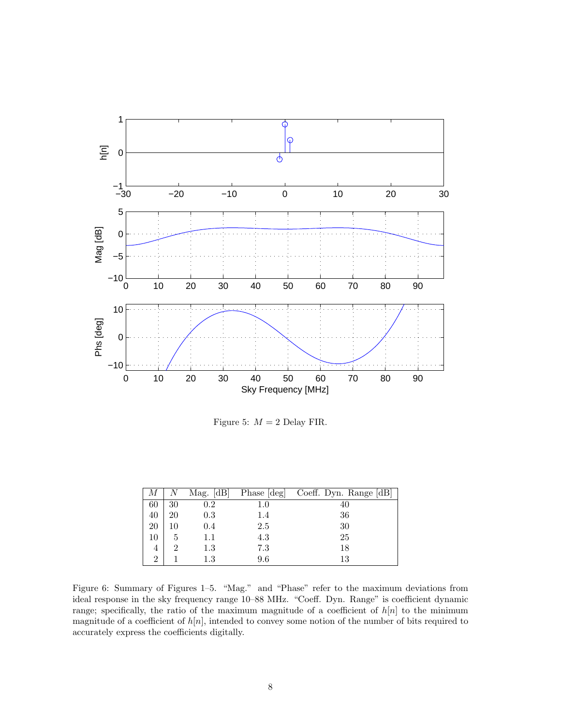

Figure 5:  $M = 2$  Delay FIR.

| М              |                | Mag. $[dB]$ |         | Phase [deg] Coeff. Dyn. Range [dB] |
|----------------|----------------|-------------|---------|------------------------------------|
| 60             | 30             | $0.2\,$     | $1.0\,$ | 40                                 |
| 40             | 20             | 0.3         | 1.4     | 36                                 |
| 20             | 10             | 0.4         | 2.5     | 30                                 |
| 10             | 5              | $1.1\,$     | 4.3     | 25                                 |
| 4              | $\overline{2}$ | $1.3\,$     | 7.3     | 18                                 |
| $\overline{2}$ |                | $1.3\,$     | 9.6     | 13                                 |

Figure 6: Summary of Figures 1–5. "Mag." and "Phase" refer to the maximum deviations from ideal response in the sky frequency range 10–88 MHz. "Coeff. Dyn. Range" is coefficient dynamic range; specifically, the ratio of the maximum magnitude of a coefficient of  $h[n]$  to the minimum magnitude of a coefficient of  $h[n]$ , intended to convey some notion of the number of bits required to accurately express the coefficients digitally.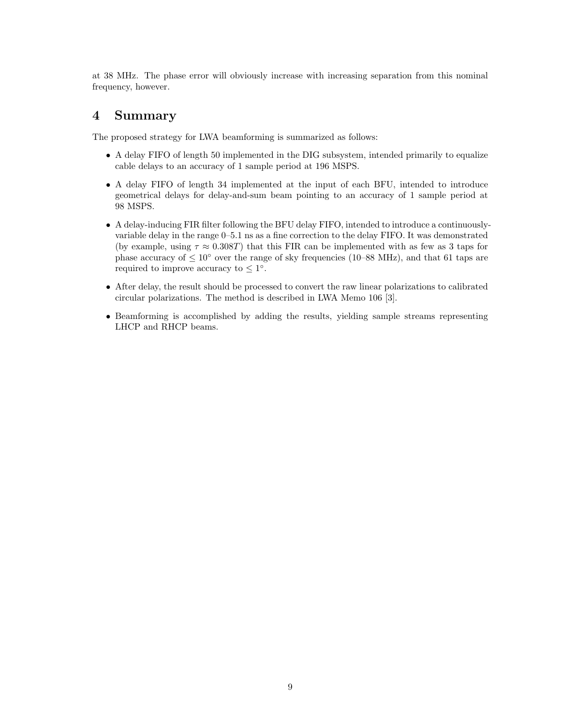at 38 MHz. The phase error will obviously increase with increasing separation from this nominal frequency, however.

### 4 Summary

The proposed strategy for LWA beamforming is summarized as follows:

- A delay FIFO of length 50 implemented in the DIG subsystem, intended primarily to equalize cable delays to an accuracy of 1 sample period at 196 MSPS.
- A delay FIFO of length 34 implemented at the input of each BFU, intended to introduce geometrical delays for delay-and-sum beam pointing to an accuracy of 1 sample period at 98 MSPS.
- A delay-inducing FIR filter following the BFU delay FIFO, intended to introduce a continuouslyvariable delay in the range 0–5.1 ns as a fine correction to the delay FIFO. It was demonstrated (by example, using  $\tau \approx 0.308T$ ) that this FIR can be implemented with as few as 3 taps for phase accuracy of  $\leq 10^{\circ}$  over the range of sky frequencies (10–88 MHz), and that 61 taps are required to improve accuracy to  $\leq 1^{\circ}$ .
- After delay, the result should be processed to convert the raw linear polarizations to calibrated circular polarizations. The method is described in LWA Memo 106 [3].
- Beamforming is accomplished by adding the results, yielding sample streams representing LHCP and RHCP beams.